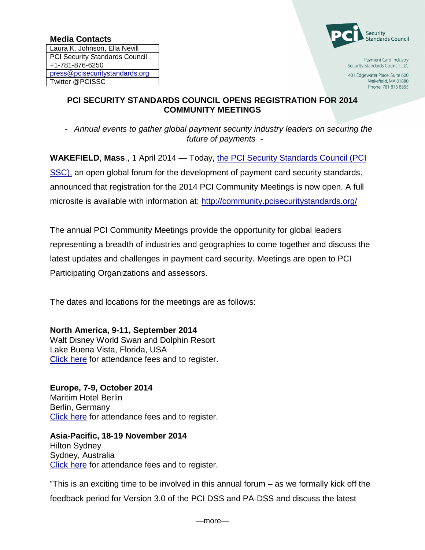Laura K. Johnson, Ella Nevill PCI Security Standards Council +1-781-876-6250 [press@pcisecuritystandards.org](mailto:press@pcisecuritystandards.org) Twitter @PCISSC



Payment Card Industry Security Standards Council, LLC

401 Edgewater Place, Suite 600 Wakefield, MA 01880 Phone: 781 876 8855

## **PCI SECURITY STANDARDS COUNCIL OPENS REGISTRATION FOR 2014 COMMUNITY MEETINGS**

- *Annual events to gather global payment security industry leaders on securing the future of payments -*

**WAKEFIELD**, **Mass**., 1 April 2014 — Today, [the PCI Security Standards Council \(PCI](https://www.pcisecuritystandards.org/index.php)  [SSC\),](https://www.pcisecuritystandards.org/index.php) an open global forum for the development of payment card security standards, announced that registration for the 2014 PCI Community Meetings is now open. A full microsite is available with information at:<http://community.pcisecuritystandards.org/>

The annual PCI Community Meetings provide the opportunity for global leaders representing a breadth of industries and geographies to come together and discuss the latest updates and challenges in payment card security. Meetings are open to PCI Participating Organizations and assessors.

The dates and locations for the meetings are as follows:

**North America, 9-11, September 2014**

Walt Disney World Swan and Dolphin Resort Lake Buena Vista, Florida, USA [Click here](http://community.pcisecuritystandards.org/2014/) for attendance fees and to register.

**Europe, 7-9, October 2014** Maritim Hotel Berlin Berlin, Germany [Click here](http://community.pcisecuritystandards.org/2014/europe/) for attendance fees and to register.

**Asia-Pacific, 18-19 November 2014** Hilton Sydney Sydney, Australia [Click here](http://community.pcisecuritystandards.org/2014/asia-pacific/) for attendance fees and to register.

"This is an exciting time to be involved in this annual forum – as we formally kick off the feedback period for Version 3.0 of the PCI DSS and PA-DSS and discuss the latest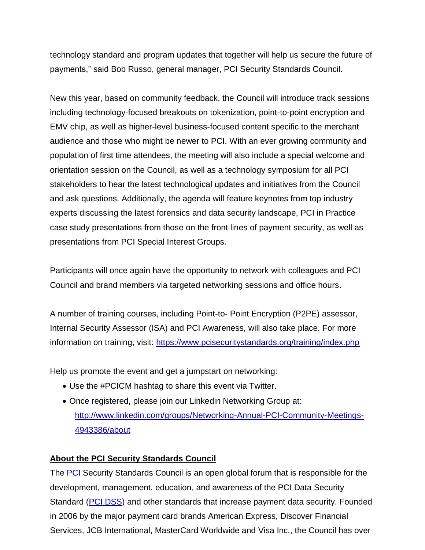technology standard and program updates that together will help us secure the future of payments," said Bob Russo, general manager, PCI Security Standards Council.

New this year, based on community feedback, the Council will introduce track sessions including technology-focused breakouts on tokenization, point-to-point encryption and EMV chip, as well as higher-level business-focused content specific to the merchant audience and those who might be newer to PCI. With an ever growing community and population of first time attendees, the meeting will also include a special welcome and orientation session on the Council, as well as a technology symposium for all PCI stakeholders to hear the latest technological updates and initiatives from the Council and ask questions. Additionally, the agenda will feature keynotes from top industry experts discussing the latest forensics and data security landscape, PCI in Practice case study presentations from those on the front lines of payment security, as well as presentations from PCI Special Interest Groups.

Participants will once again have the opportunity to network with colleagues and PCI Council and brand members via targeted networking sessions and office hours.

A number of training courses, including Point-to- Point Encryption (P2PE) assessor, Internal Security Assessor (ISA) and PCI Awareness, will also take place. For more information on training, visit:<https://www.pcisecuritystandards.org/training/index.php>

Help us promote the event and get a jumpstart on networking:

- Use the #PCICM hashtag to share this event via Twitter.
- Once registered, please join our Linkedin Networking Group at: [http://www.linkedin.com/groups/Networking-Annual-PCI-Community-Meetings-](http://www.linkedin.com/groups/Networking-Annual-PCI-Community-Meetings-4943386/about)[4943386/about](http://www.linkedin.com/groups/Networking-Annual-PCI-Community-Meetings-4943386/about)

## **About the PCI Security Standards Council**

The **PCI** Security Standards Council is an open global forum that is responsible for the development, management, education, and awareness of the PCI Data Security Standard [\(PCI DSS\)](https://www.pcisecuritystandards.org/documents/pci_dss_v2.pdf) and other standards that increase payment data security. Founded in 2006 by the major payment card brands American Express, Discover Financial Services, JCB International, MasterCard Worldwide and Visa Inc., the Council has over